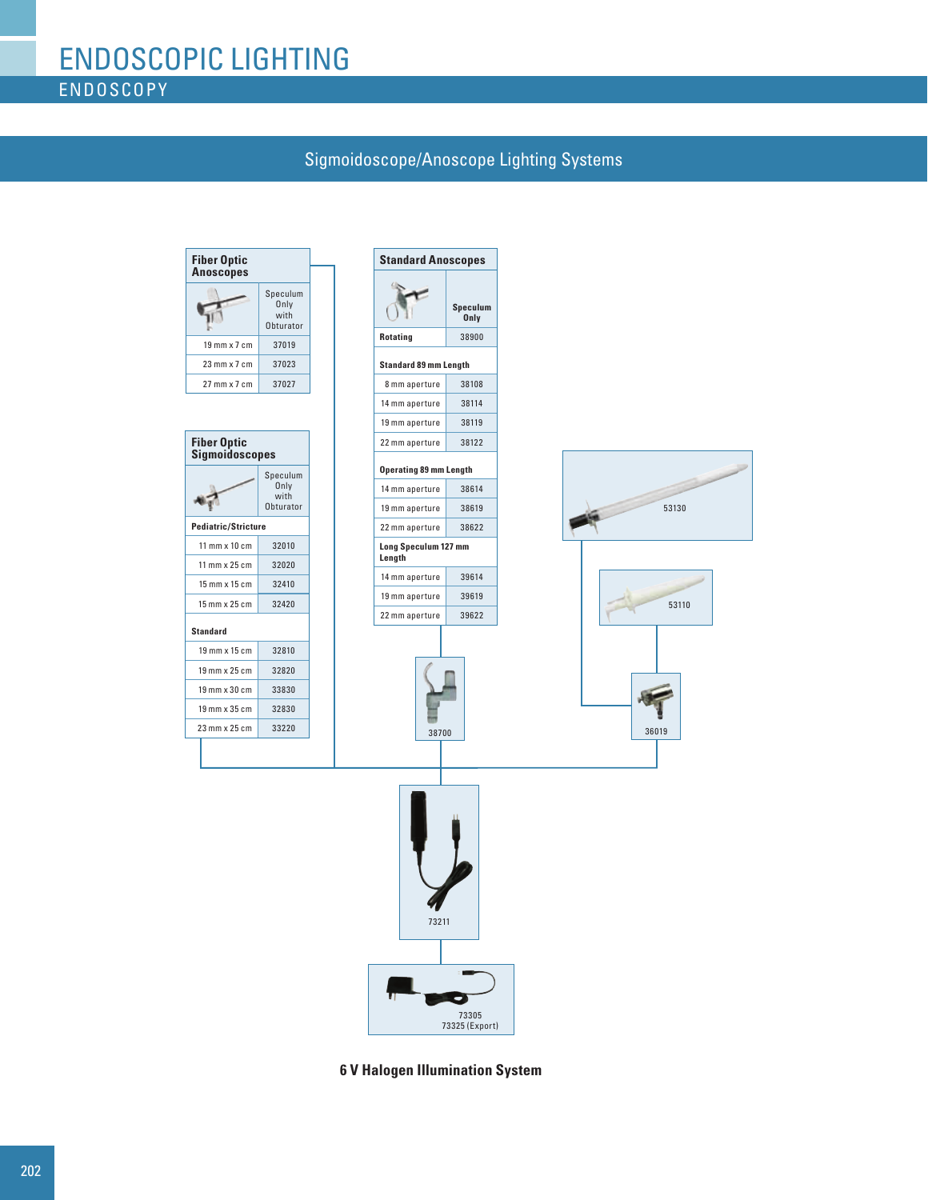## Sigmoidoscope/Anoscope Lighting Systems



**6 V Halogen Illumination System**